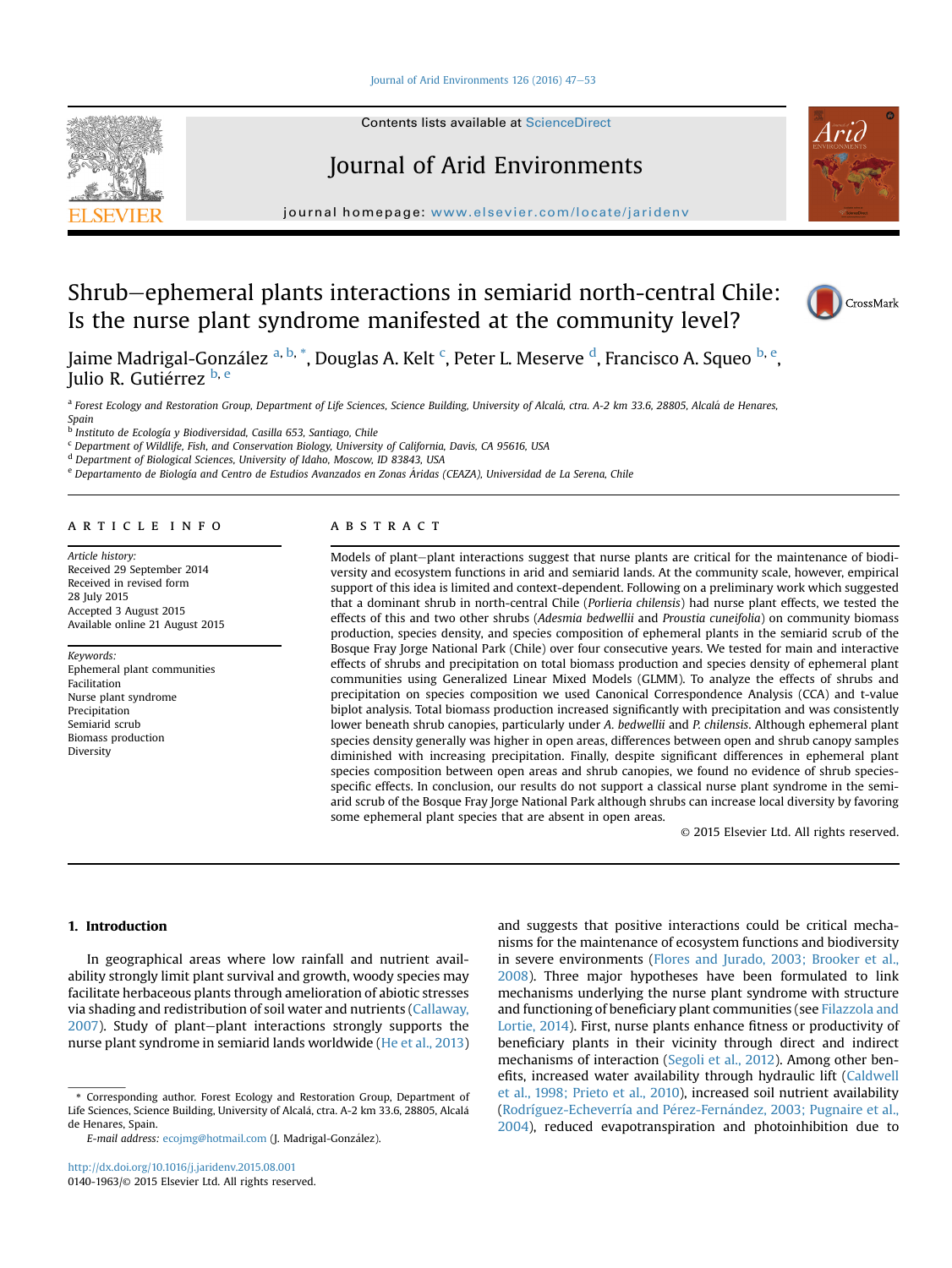#### [Journal of Arid Environments 126 \(2016\) 47](http://dx.doi.org/10.1016/j.jaridenv.2015.08.001)-[53](http://dx.doi.org/10.1016/j.jaridenv.2015.08.001)



Contents lists available at [ScienceDirect](www.sciencedirect.com/science/journal/01401963)

# Journal of Arid Environments



journal homepage: [www.elsevier.com/locate/jaridenv](http://www.elsevier.com/locate/jaridenv)

# Shrub-ephemeral plants interactions in semiarid north-central Chile: Is the nurse plant syndrome manifested at the community level?



Jaime Madrigal-González <sup>a, b,</sup> \*, Douglas A. Kelt <sup>c</sup>, Peter L. Meserve <sup>d</sup>, Francisco A. Squeo <sup>b, e</sup>, Julio R. Gutiérrez b, e

a Forest Ecology and Restoration Group, Department of Life Sciences, Science Building, University of Alcalá, ctra. A-2 km 33.6, 28805, Alcalá de Henares, Spain

<sup>b</sup> Instituto de Ecología y Biodiversidad, Casilla 653, Santiago, Chile

<sup>c</sup> Department of Wildlife, Fish, and Conservation Biology, University of California, Davis, CA 95616, USA

<sup>d</sup> Department of Biological Sciences, University of Idaho, Moscow, ID 83843, USA

<sup>e</sup> Departamento de Biología and Centro de Estudios Avanzados en Zonas Áridas (CEAZA), Universidad de La Serena, Chile

# article info

Article history: Received 29 September 2014 Received in revised form 28 July 2015 Accepted 3 August 2015 Available online 21 August 2015

Keywords: Ephemeral plant communities Facilitation Nurse plant syndrome Precipitation Semiarid scrub Biomass production Diversity

# **ABSTRACT**

Models of plant-plant interactions suggest that nurse plants are critical for the maintenance of biodiversity and ecosystem functions in arid and semiarid lands. At the community scale, however, empirical support of this idea is limited and context-dependent. Following on a preliminary work which suggested that a dominant shrub in north-central Chile (Porlieria chilensis) had nurse plant effects, we tested the effects of this and two other shrubs (Adesmia bedwellii and Proustia cuneifolia) on community biomass production, species density, and species composition of ephemeral plants in the semiarid scrub of the Bosque Fray Jorge National Park (Chile) over four consecutive years. We tested for main and interactive effects of shrubs and precipitation on total biomass production and species density of ephemeral plant communities using Generalized Linear Mixed Models (GLMM). To analyze the effects of shrubs and precipitation on species composition we used Canonical Correspondence Analysis (CCA) and t-value biplot analysis. Total biomass production increased significantly with precipitation and was consistently lower beneath shrub canopies, particularly under A. bedwellii and P. chilensis. Although ephemeral plant species density generally was higher in open areas, differences between open and shrub canopy samples diminished with increasing precipitation. Finally, despite significant differences in ephemeral plant species composition between open areas and shrub canopies, we found no evidence of shrub speciesspecific effects. In conclusion, our results do not support a classical nurse plant syndrome in the semiarid scrub of the Bosque Fray Jorge National Park although shrubs can increase local diversity by favoring some ephemeral plant species that are absent in open areas.

© 2015 Elsevier Ltd. All rights reserved.

# 1. Introduction

In geographical areas where low rainfall and nutrient availability strongly limit plant survival and growth, woody species may facilitate herbaceous plants through amelioration of abiotic stresses via shading and redistribution of soil water and nutrients [\(Callaway,](#page-5-0)  $2007$ ). Study of plant-plant interactions strongly supports the nurse plant syndrome in semiarid lands worldwide ([He et al., 2013\)](#page-5-0)

and suggests that positive interactions could be critical mechanisms for the maintenance of ecosystem functions and biodiversity in severe environments [\(Flores and Jurado, 2003; Brooker et al.,](#page-5-0) [2008\)](#page-5-0). Three major hypotheses have been formulated to link mechanisms underlying the nurse plant syndrome with structure and functioning of beneficiary plant communities (see [Filazzola and](#page-5-0) [Lortie, 2014](#page-5-0)). First, nurse plants enhance fitness or productivity of beneficiary plants in their vicinity through direct and indirect mechanisms of interaction [\(Segoli et al., 2012\)](#page-5-0). Among other benefits, increased water availability through hydraulic lift ([Caldwell](#page-5-0) [et al., 1998; Prieto et al., 2010](#page-5-0)), increased soil nutrient availability ([Rodríguez-Echeverría and P](#page-5-0)é[rez-Fern](#page-5-0)á[ndez, 2003; Pugnaire et al.,](#page-5-0) [2004\)](#page-5-0), reduced evapotranspiration and photoinhibition due to

<sup>\*</sup> Corresponding author. Forest Ecology and Restoration Group, Department of Life Sciences, Science Building, University of Alcal a, ctra. A-2 km 33.6, 28805, Alcal a de Henares, Spain.

E-mail address: [ecojmg@hotmail.com](mailto:ecojmg@hotmail.com) (J. Madrigal-Gonzalez).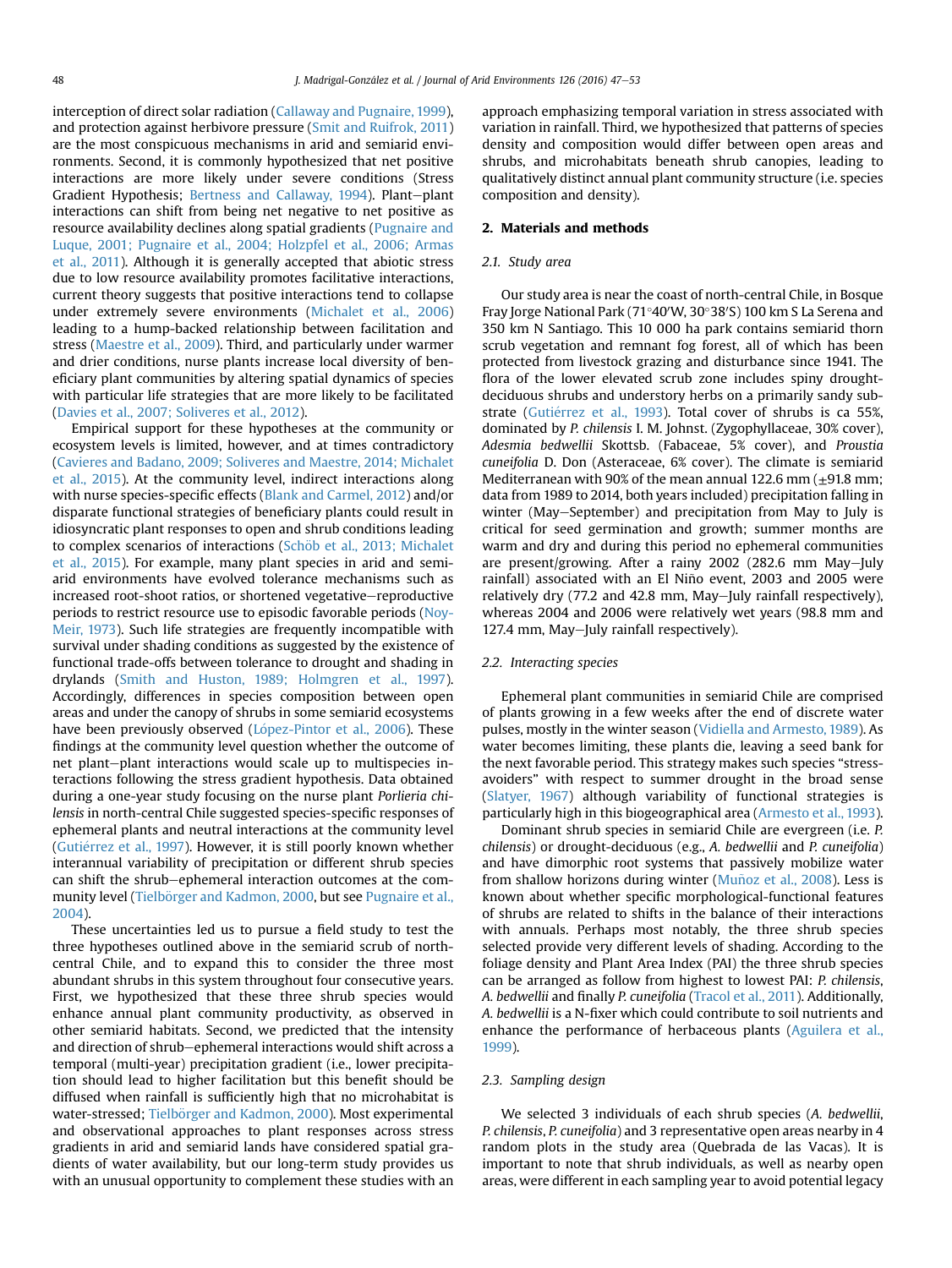interception of direct solar radiation ([Callaway and Pugnaire, 1999\)](#page-5-0), and protection against herbivore pressure [\(Smit and Ruifrok, 2011\)](#page-6-0) are the most conspicuous mechanisms in arid and semiarid environments. Second, it is commonly hypothesized that net positive interactions are more likely under severe conditions (Stress Gradient Hypothesis; [Bertness and Callaway, 1994\)](#page-5-0). Plant-plant interactions can shift from being net negative to net positive as resource availability declines along spatial gradients [\(Pugnaire and](#page-5-0) [Luque, 2001; Pugnaire et al., 2004; Holzpfel et al., 2006; Armas](#page-5-0) [et al., 2011](#page-5-0)). Although it is generally accepted that abiotic stress due to low resource availability promotes facilitative interactions, current theory suggests that positive interactions tend to collapse under extremely severe environments ([Michalet et al., 2006\)](#page-5-0) leading to a hump-backed relationship between facilitation and stress ([Maestre et al., 2009\)](#page-5-0). Third, and particularly under warmer and drier conditions, nurse plants increase local diversity of beneficiary plant communities by altering spatial dynamics of species with particular life strategies that are more likely to be facilitated ([Davies et al., 2007; Soliveres et al., 2012](#page-5-0)).

Empirical support for these hypotheses at the community or ecosystem levels is limited, however, and at times contradictory ([Cavieres and Badano, 2009; Soliveres and Maestre, 2014; Michalet](#page-5-0) [et al., 2015\)](#page-5-0). At the community level, indirect interactions along with nurse species-specific effects ([Blank and Carmel, 2012\)](#page-5-0) and/or disparate functional strategies of beneficiary plants could result in idiosyncratic plant responses to open and shrub conditions leading to complex scenarios of interactions (Schöb et al., 2013; Michalet [et al., 2015\)](#page-6-0). For example, many plant species in arid and semiarid environments have evolved tolerance mechanisms such as increased root-shoot ratios, or shortened vegetative-reproductive periods to restrict resource use to episodic favorable periods ([Noy-](#page-5-0)[Meir, 1973\)](#page-5-0). Such life strategies are frequently incompatible with survival under shading conditions as suggested by the existence of functional trade-offs between tolerance to drought and shading in drylands [\(Smith and Huston, 1989; Holmgren et al., 1997\)](#page-6-0). Accordingly, differences in species composition between open areas and under the canopy of shrubs in some semiarid ecosystems have been previously observed (López-Pintor et al., 2006). These findings at the community level question whether the outcome of net plant-plant interactions would scale up to multispecies interactions following the stress gradient hypothesis. Data obtained during a one-year study focusing on the nurse plant Porlieria chilensis in north-central Chile suggested species-specific responses of ephemeral plants and neutral interactions at the community level (Gutiérrez et al., 1997). However, it is still poorly known whether interannual variability of precipitation or different shrub species can shift the shrub-ephemeral interaction outcomes at the com-munity level (Tielbörger and Kadmon, 2000, but see [Pugnaire et al.,](#page-5-0) [2004](#page-5-0)).

These uncertainties led us to pursue a field study to test the three hypotheses outlined above in the semiarid scrub of northcentral Chile, and to expand this to consider the three most abundant shrubs in this system throughout four consecutive years. First, we hypothesized that these three shrub species would enhance annual plant community productivity, as observed in other semiarid habitats. Second, we predicted that the intensity and direction of shrub-ephemeral interactions would shift across a temporal (multi-year) precipitation gradient (i.e., lower precipitation should lead to higher facilitation but this benefit should be diffused when rainfall is sufficiently high that no microhabitat is water-stressed; Tielbörger and Kadmon, 2000). Most experimental and observational approaches to plant responses across stress gradients in arid and semiarid lands have considered spatial gradients of water availability, but our long-term study provides us with an unusual opportunity to complement these studies with an approach emphasizing temporal variation in stress associated with variation in rainfall. Third, we hypothesized that patterns of species density and composition would differ between open areas and shrubs, and microhabitats beneath shrub canopies, leading to qualitatively distinct annual plant community structure (i.e. species composition and density).

# 2. Materials and methods

# 2.1. Study area

Our study area is near the coast of north-central Chile, in Bosque Fray Jorge National Park (71°40′W, 30°38′S) 100 km S La Serena and 350 km N Santiago. This 10 000 ha park contains semiarid thorn scrub vegetation and remnant fog forest, all of which has been protected from livestock grazing and disturbance since 1941. The flora of the lower elevated scrub zone includes spiny droughtdeciduous shrubs and understory herbs on a primarily sandy substrate (Gutiérrez et al., 1993). Total cover of shrubs is ca 55%, dominated by P. chilensis I. M. Johnst. (Zygophyllaceae, 30% cover), Adesmia bedwellii Skottsb. (Fabaceae, 5% cover), and Proustia cuneifolia D. Don (Asteraceae, 6% cover). The climate is semiarid Mediterranean with 90% of the mean annual 122.6 mm  $(\pm 91.8 \text{ mm})$ ; data from 1989 to 2014, both years included) precipitation falling in winter (May-September) and precipitation from May to July is critical for seed germination and growth; summer months are warm and dry and during this period no ephemeral communities are present/growing. After a rainy  $2002$  (282.6 mm May-July rainfall) associated with an El Niño event, 2003 and 2005 were relatively dry (77.2 and 42.8 mm, May-July rainfall respectively), whereas 2004 and 2006 were relatively wet years (98.8 mm and 127.4 mm, May-July rainfall respectively).

## 2.2. Interacting species

Ephemeral plant communities in semiarid Chile are comprised of plants growing in a few weeks after the end of discrete water pulses, mostly in the winter season [\(Vidiella and Armesto, 1989](#page-6-0)). As water becomes limiting, these plants die, leaving a seed bank for the next favorable period. This strategy makes such species "stressavoiders" with respect to summer drought in the broad sense ([Slatyer, 1967\)](#page-6-0) although variability of functional strategies is particularly high in this biogeographical area ([Armesto et al., 1993\)](#page-5-0).

Dominant shrub species in semiarid Chile are evergreen (i.e. P. chilensis) or drought-deciduous (e.g., A. bedwellii and P. cuneifolia) and have dimorphic root systems that passively mobilize water from shallow horizons during winter (Muñoz et al., 2008). Less is known about whether specific morphological-functional features of shrubs are related to shifts in the balance of their interactions with annuals. Perhaps most notably, the three shrub species selected provide very different levels of shading. According to the foliage density and Plant Area Index (PAI) the three shrub species can be arranged as follow from highest to lowest PAI: P. chilensis, A. bedwellii and finally P. cuneifolia [\(Tracol et al., 2011](#page-6-0)). Additionally, A. bedwellii is a N-fixer which could contribute to soil nutrients and enhance the performance of herbaceous plants [\(Aguilera et al.,](#page-5-0) [1999](#page-5-0)).

## 2.3. Sampling design

We selected 3 individuals of each shrub species (A. bedwellii, P. chilensis, P. cuneifolia) and 3 representative open areas nearby in 4 random plots in the study area (Quebrada de las Vacas). It is important to note that shrub individuals, as well as nearby open areas, were different in each sampling year to avoid potential legacy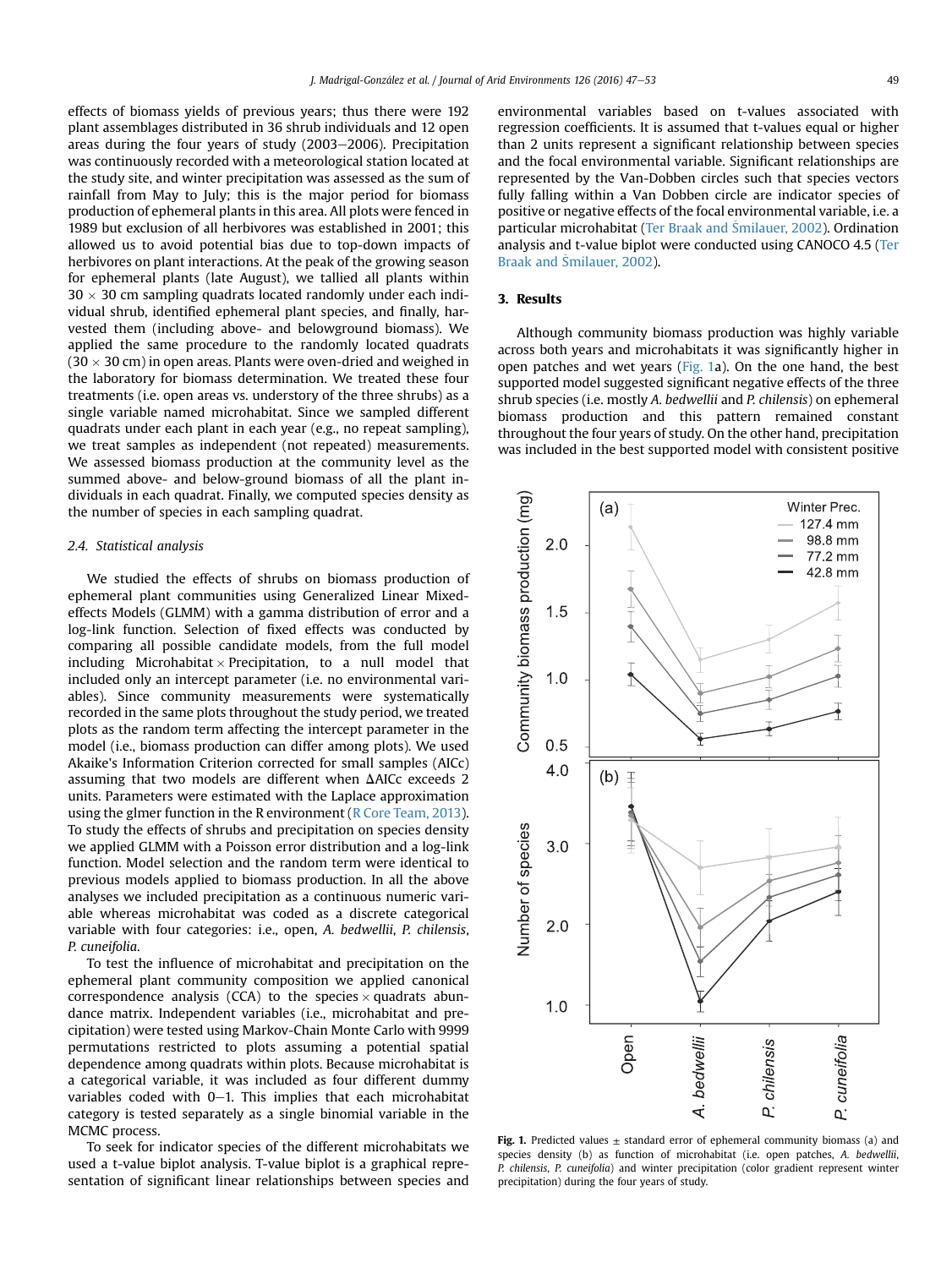<span id="page-2-0"></span>effects of biomass yields of previous years; thus there were 192 plant assemblages distributed in 36 shrub individuals and 12 open areas during the four years of study (2003-2006). Precipitation was continuously recorded with a meteorological station located at the study site, and winter precipitation was assessed as the sum of rainfall from May to July; this is the major period for biomass production of ephemeral plants in this area. All plots were fenced in 1989 but exclusion of all herbivores was established in 2001; this allowed us to avoid potential bias due to top-down impacts of herbivores on plant interactions. At the peak of the growing season for ephemeral plants (late August), we tallied all plants within  $30 \times 30$  cm sampling quadrats located randomly under each individual shrub, identified ephemeral plant species, and finally, harvested them (including above- and belowground biomass). We applied the same procedure to the randomly located quadrats  $(30 \times 30 \text{ cm})$  in open areas. Plants were oven-dried and weighed in the laboratory for biomass determination. We treated these four treatments (i.e. open areas vs. understory of the three shrubs) as a single variable named microhabitat. Since we sampled different quadrats under each plant in each year (e.g., no repeat sampling), we treat samples as independent (not repeated) measurements. We assessed biomass production at the community level as the summed above- and below-ground biomass of all the plant individuals in each quadrat. Finally, we computed species density as the number of species in each sampling quadrat.

# 2.4. Statistical analysis

We studied the effects of shrubs on biomass production of ephemeral plant communities using Generalized Linear Mixedeffects Models (GLMM) with a gamma distribution of error and a log-link function. Selection of fixed effects was conducted by comparing all possible candidate models, from the full model including Microhabitat  $\times$  Precipitation, to a null model that included only an intercept parameter (i.e. no environmental variables). Since community measurements were systematically recorded in the same plots throughout the study period, we treated plots as the random term affecting the intercept parameter in the model (i.e., biomass production can differ among plots). We used Akaike's Information Criterion corrected for small samples (AICc) assuming that two models are different when  $\Delta$ AICc exceeds 2 units. Parameters were estimated with the Laplace approximation using the glmer function in the R environment ([R Core Team, 2013\)](#page-5-0). To study the effects of shrubs and precipitation on species density we applied GLMM with a Poisson error distribution and a log-link function. Model selection and the random term were identical to previous models applied to biomass production. In all the above analyses we included precipitation as a continuous numeric variable whereas microhabitat was coded as a discrete categorical variable with four categories: i.e., open, A. bedwellii, P. chilensis, P. cuneifolia.

To test the influence of microhabitat and precipitation on the ephemeral plant community composition we applied canonical correspondence analysis (CCA) to the species  $\times$  quadrats abundance matrix. Independent variables (i.e., microhabitat and precipitation) were tested using Markov-Chain Monte Carlo with 9999 permutations restricted to plots assuming a potential spatial dependence among quadrats within plots. Because microhabitat is a categorical variable, it was included as four different dummy variables coded with  $0-1$ . This implies that each microhabitat category is tested separately as a single binomial variable in the MCMC process.

To seek for indicator species of the different microhabitats we used a t-value biplot analysis. T-value biplot is a graphical representation of significant linear relationships between species and environmental variables based on t-values associated with regression coefficients. It is assumed that t-values equal or higher than 2 units represent a significant relationship between species and the focal environmental variable. Significant relationships are represented by the Van-Dobben circles such that species vectors fully falling within a Van Dobben circle are indicator species of positive or negative effects of the focal environmental variable, i.e. a particular microhabitat [\(Ter Braak and](#page-6-0) [Smilauer, 2002\)](#page-6-0). Ordination analysis and t-value biplot were conducted using CANOCO 4.5 ([Ter](#page-6-0) [Braak and](#page-6-0) [Smilauer, 2002\)](#page-6-0).

# 3. Results

Although community biomass production was highly variable across both years and microhabitats it was significantly higher in open patches and wet years (Fig. 1a). On the one hand, the best supported model suggested significant negative effects of the three shrub species (i.e. mostly A. bedwellii and P. chilensis) on ephemeral biomass production and this pattern remained constant throughout the four years of study. On the other hand, precipitation was included in the best supported model with consistent positive



Fig. 1. Predicted values  $\pm$  standard error of ephemeral community biomass (a) and species density (b) as function of microhabitat (i.e. open patches, A. bedwellii, P. chilensis, P. cuneifolia) and winter precipitation (color gradient represent winter precipitation) during the four years of study.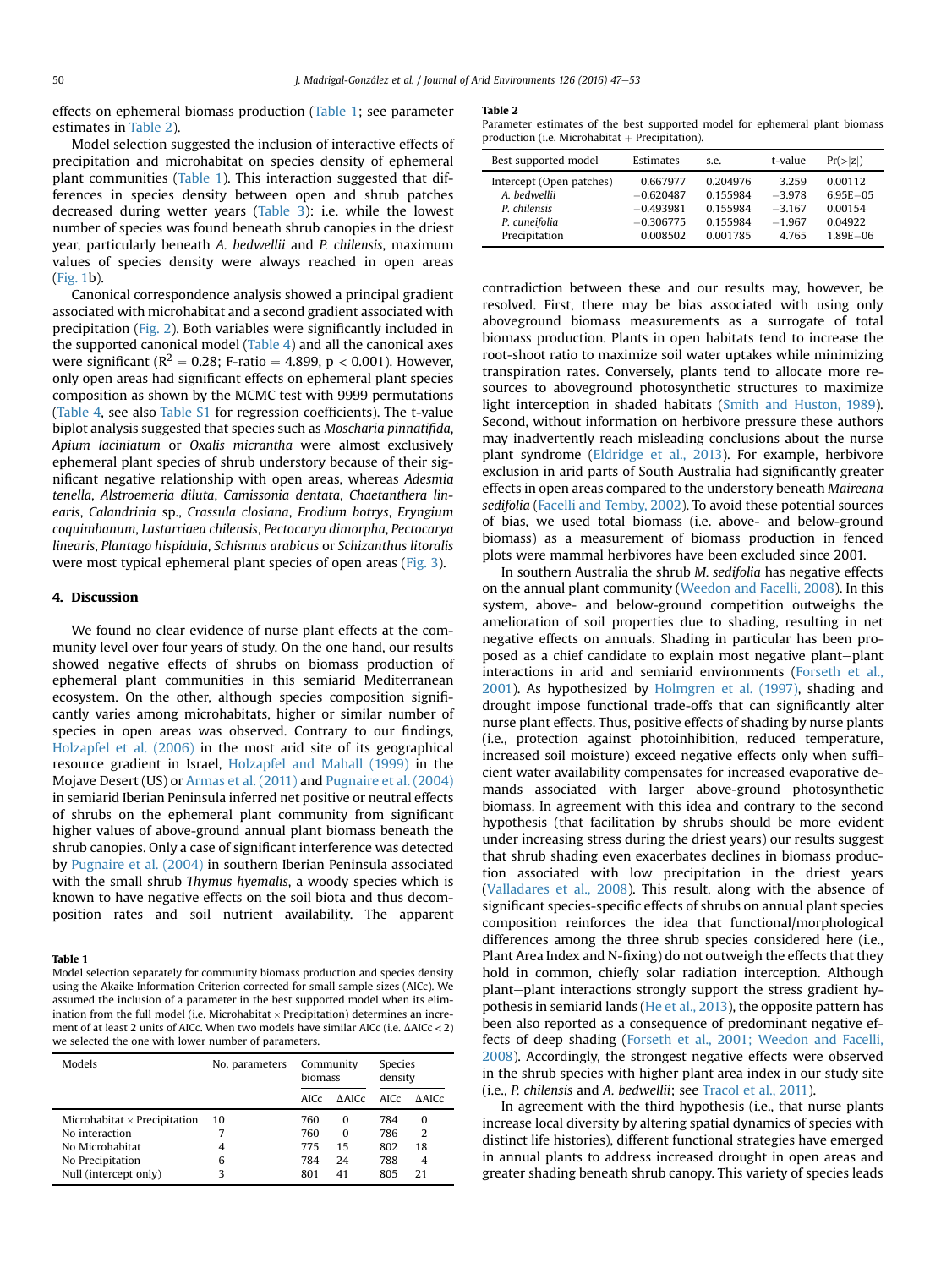effects on ephemeral biomass production (Table 1; see parameter estimates in Table 2).

Model selection suggested the inclusion of interactive effects of precipitation and microhabitat on species density of ephemeral plant communities (Table 1). This interaction suggested that differences in species density between open and shrub patches decreased during wetter years ([Table 3\)](#page-4-0): i.e. while the lowest number of species was found beneath shrub canopies in the driest year, particularly beneath A. bedwellii and P. chilensis, maximum values of species density were always reached in open areas ([Fig. 1](#page-2-0)b).

Canonical correspondence analysis showed a principal gradient associated with microhabitat and a second gradient associated with precipitation ([Fig. 2](#page-4-0)). Both variables were significantly included in the supported canonical model [\(Table 4\)](#page-4-0) and all the canonical axes were significant ( $R^2 = 0.28$ ; F-ratio = 4.899, p < 0.001). However, only open areas had significant effects on ephemeral plant species composition as shown by the MCMC test with 9999 permutations ([Table 4](#page-4-0), see also Table S1 for regression coefficients). The t-value biplot analysis suggested that species such as Moscharia pinnatifida, Apium laciniatum or Oxalis micrantha were almost exclusively ephemeral plant species of shrub understory because of their significant negative relationship with open areas, whereas Adesmia tenella, Alstroemeria diluta, Camissonia dentata, Chaetanthera linearis, Calandrinia sp., Crassula closiana, Erodium botrys, Eryngium coquimbanum, Lastarriaea chilensis, Pectocarya dimorpha, Pectocarya linearis, Plantago hispidula, Schismus arabicus or Schizanthus litoralis were most typical ephemeral plant species of open areas [\(Fig. 3](#page-4-0)).

# 4. Discussion

We found no clear evidence of nurse plant effects at the community level over four years of study. On the one hand, our results showed negative effects of shrubs on biomass production of ephemeral plant communities in this semiarid Mediterranean ecosystem. On the other, although species composition significantly varies among microhabitats, higher or similar number of species in open areas was observed. Contrary to our findings, [Holzapfel et al. \(2006\)](#page-5-0) in the most arid site of its geographical resource gradient in Israel, [Holzapfel and Mahall \(1999\)](#page-5-0) in the Mojave Desert (US) or [Armas et al. \(2011\)](#page-5-0) and [Pugnaire et al. \(2004\)](#page-5-0) in semiarid Iberian Peninsula inferred net positive or neutral effects of shrubs on the ephemeral plant community from significant higher values of above-ground annual plant biomass beneath the shrub canopies. Only a case of significant interference was detected by [Pugnaire et al. \(2004\)](#page-5-0) in southern Iberian Peninsula associated with the small shrub Thymus hyemalis, a woody species which is known to have negative effects on the soil biota and thus decomposition rates and soil nutrient availability. The apparent

#### Table 1

Model selection separately for community biomass production and species density using the Akaike Information Criterion corrected for small sample sizes (AICc). We assumed the inclusion of a parameter in the best supported model when its elimination from the full model (i.e. Microhabitat  $\times$  Precipitation) determines an increment of at least 2 units of AICc. When two models have similar AICc (i.e.  $\Delta$ AICc < 2) we selected the one with lower number of parameters.

| Models                              | No. parameters | Community<br>hiomass |          | Species<br>density |              |
|-------------------------------------|----------------|----------------------|----------|--------------------|--------------|
|                                     |                | AICc                 | A AICc   | AICc               | <b>AAICc</b> |
| Microhabitat $\times$ Precipitation | 10             | 760                  | $\Omega$ | 784                | 0            |
| No interaction                      |                | 760                  | $\Omega$ | 786                | 2            |
| No Microhabitat                     | 4              | 775                  | 15       | 802                | 18           |
| No Precipitation                    | 6              | 784                  | 24       | 788                | 4            |
| Null (intercept only)               | 3              | 801                  | 41       | 805                | 21           |

#### Table 2

Parameter estimates of the best supported model for ephemeral plant biomass production (i.e. Microhabitat  $+$  Precipitation).

| Best supported model     | Estimates   | s.e.     | t-value  | Pr(> z )     |
|--------------------------|-------------|----------|----------|--------------|
| Intercept (Open patches) | 0.667977    | 0.204976 | 3259     | 0.00112      |
| A. bedwellii             | $-0.620487$ | 0.155984 | $-3.978$ | $6.95E - 05$ |
| P. chilensis             | $-0.493981$ | 0.155984 | $-3,167$ | 0.00154      |
| P. cuneifolia            | $-0.306775$ | 0.155984 | $-1.967$ | 0.04922      |
| Precipitation            | 0.008502    | 0.001785 | 4.765    | $1.89E - 06$ |
|                          |             |          |          |              |

contradiction between these and our results may, however, be resolved. First, there may be bias associated with using only aboveground biomass measurements as a surrogate of total biomass production. Plants in open habitats tend to increase the root-shoot ratio to maximize soil water uptakes while minimizing transpiration rates. Conversely, plants tend to allocate more resources to aboveground photosynthetic structures to maximize light interception in shaded habitats ([Smith and Huston, 1989\)](#page-6-0). Second, without information on herbivore pressure these authors may inadvertently reach misleading conclusions about the nurse plant syndrome [\(Eldridge et al., 2013](#page-5-0)). For example, herbivore exclusion in arid parts of South Australia had significantly greater effects in open areas compared to the understory beneath Maireana sedifolia ([Facelli and Temby, 2002](#page-5-0)). To avoid these potential sources of bias, we used total biomass (i.e. above- and below-ground biomass) as a measurement of biomass production in fenced plots were mammal herbivores have been excluded since 2001.

In southern Australia the shrub M. sedifolia has negative effects on the annual plant community ([Weedon and Facelli, 2008](#page-6-0)). In this system, above- and below-ground competition outweighs the amelioration of soil properties due to shading, resulting in net negative effects on annuals. Shading in particular has been proposed as a chief candidate to explain most negative plant-plant interactions in arid and semiarid environments [\(Forseth et al.,](#page-5-0) [2001\)](#page-5-0). As hypothesized by [Holmgren et al. \(1997\)](#page-5-0), shading and drought impose functional trade-offs that can significantly alter nurse plant effects. Thus, positive effects of shading by nurse plants (i.e., protection against photoinhibition, reduced temperature, increased soil moisture) exceed negative effects only when sufficient water availability compensates for increased evaporative demands associated with larger above-ground photosynthetic biomass. In agreement with this idea and contrary to the second hypothesis (that facilitation by shrubs should be more evident under increasing stress during the driest years) our results suggest that shrub shading even exacerbates declines in biomass production associated with low precipitation in the driest years ([Valladares et al., 2008\)](#page-6-0). This result, along with the absence of significant species-specific effects of shrubs on annual plant species composition reinforces the idea that functional/morphological differences among the three shrub species considered here (i.e., Plant Area Index and N-fixing) do not outweigh the effects that they hold in common, chiefly solar radiation interception. Although plant-plant interactions strongly support the stress gradient hypothesis in semiarid lands ([He et al., 2013\)](#page-5-0), the opposite pattern has been also reported as a consequence of predominant negative effects of deep shading [\(Forseth et al., 2001; Weedon and Facelli,](#page-5-0) [2008](#page-5-0)). Accordingly, the strongest negative effects were observed in the shrub species with higher plant area index in our study site (i.e., P. chilensis and A. bedwellii; see [Tracol et al., 2011\)](#page-6-0).

In agreement with the third hypothesis (i.e., that nurse plants increase local diversity by altering spatial dynamics of species with distinct life histories), different functional strategies have emerged in annual plants to address increased drought in open areas and greater shading beneath shrub canopy. This variety of species leads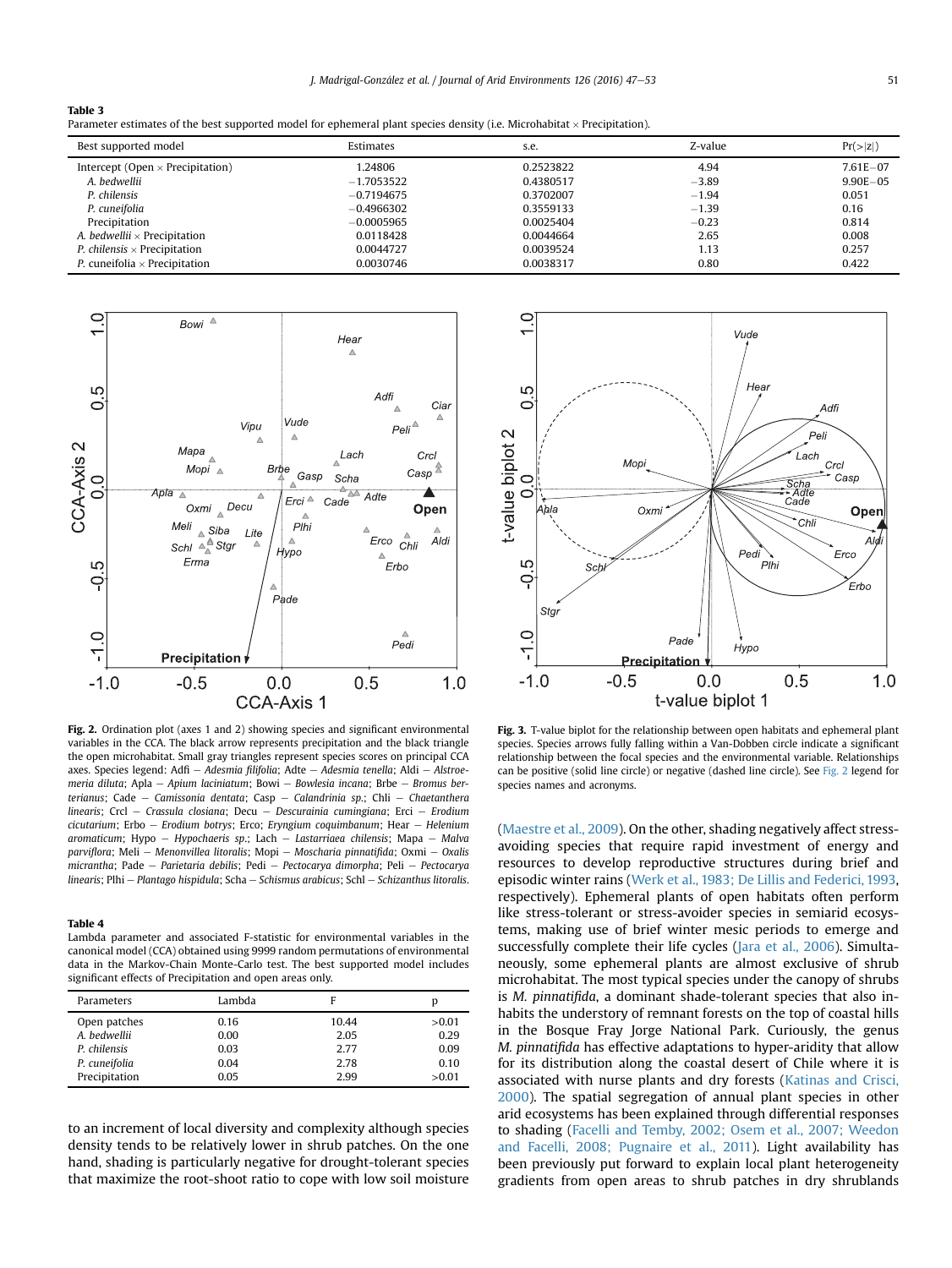<span id="page-4-0"></span>

|--|--|

Parameter estimates of the best supported model for ephemeral plant species density (i.e. Microhabitat  $\times$  Precipitation).

| Best supported model                        | Estimates    | s.e.      | Z-value | Pr(> z )      |
|---------------------------------------------|--------------|-----------|---------|---------------|
| Intercept (Open $\times$ Precipitation)     | 1.24806      | 0.2523822 | 4.94    | $7.61E - 07$  |
| A. bedwellii                                | $-1.7053522$ | 0.4380517 | $-3.89$ | $9.90E - 0.5$ |
| P. chilensis                                | $-0.7194675$ | 0.3702007 | $-1.94$ | 0.051         |
| P. cuneifolia                               | $-0.4966302$ | 0.3559133 | $-1.39$ | 0.16          |
| Precipitation                               | $-0.0005965$ | 0.0025404 | $-0.23$ | 0.814         |
| A. bedwellii $\times$ Precipitation         | 0.0118428    | 0.0044664 | 2.65    | 0.008         |
| <i>P.</i> chilensis $\times$ Precipitation  | 0.0044727    | 0.0039524 | 1.13    | 0.257         |
| <i>P.</i> cuneifolia $\times$ Precipitation | 0.0030746    | 0.0038317 | 0.80    | 0.422         |



Fig. 2. Ordination plot (axes 1 and 2) showing species and significant environmental variables in the CCA. The black arrow represents precipitation and the black triangle the open microhabitat. Small gray triangles represent species scores on principal CCA axes. Species legend: Adfi – Adesmia filifolia: Adte – Adesmia tenella; Aldi – Alstroemeria diluta; Apla - Apium laciniatum; Bowi - Bowlesia incana; Brbe - Bromus berterianus; Cade - Camissonia dentata; Casp - Calandrinia sp.; Chli - Chaetanthera linearis; Crcl - Crassula closiana; Decu - Descurainia cumingiana; Erci - Erodium  $cicutarium$ ; Erbo - Erodium botrys; Erco; Eryngium coquimbanum; Hear - Helenium aromaticum; Hypo - Hypochaeris sp.; Lach - Lastarriaea chilensis; Mapa - Malva parviflora; Meli - Menonvillea litoralis; Mopi - Moscharia pinnatifida; Oxmi - Oxalis micrantha; Pade - Parietaria debilis; Pedi - Pectocarya dimorpha; Peli - Pectocarya  $linearis: Plhi - Plantago hispidula: Scha - Schismus arabicus: Schl - Schizanthus litoralis.$ 

#### Table 4

Lambda parameter and associated F-statistic for environmental variables in the canonical model (CCA) obtained using 9999 random permutations of environmental data in the Markov-Chain Monte-Carlo test. The best supported model includes significant effects of Precipitation and open areas only.

| Parameters    | Lambda | F     | p      |
|---------------|--------|-------|--------|
| Open patches  | 0.16   | 10.44 | >0.01  |
| A. bedwellii  | 0.00   | 2.05  | 0.29   |
| P. chilensis  | 0.03   | 2.77  | 0.09   |
| P. cuneifolia | 0.04   | 2.78  | 0.10   |
| Precipitation | 0.05   | 2.99  | > 0.01 |

to an increment of local diversity and complexity although species density tends to be relatively lower in shrub patches. On the one hand, shading is particularly negative for drought-tolerant species that maximize the root-shoot ratio to cope with low soil moisture



Fig. 3. T-value biplot for the relationship between open habitats and ephemeral plant species. Species arrows fully falling within a Van-Dobben circle indicate a significant relationship between the focal species and the environmental variable. Relationships can be positive (solid line circle) or negative (dashed line circle). See Fig. 2 legend for species names and acronyms.

([Maestre et al., 2009\)](#page-5-0). On the other, shading negatively affect stressavoiding species that require rapid investment of energy and resources to develop reproductive structures during brief and episodic winter rains [\(Werk et al., 1983; De Lillis and Federici, 1993,](#page-6-0) respectively). Ephemeral plants of open habitats often perform like stress-tolerant or stress-avoider species in semiarid ecosystems, making use of brief winter mesic periods to emerge and successfully complete their life cycles ([Jara et al., 2006](#page-5-0)). Simultaneously, some ephemeral plants are almost exclusive of shrub microhabitat. The most typical species under the canopy of shrubs is M. pinnatifida, a dominant shade-tolerant species that also inhabits the understory of remnant forests on the top of coastal hills in the Bosque Fray Jorge National Park. Curiously, the genus M. pinnatifida has effective adaptations to hyper-aridity that allow for its distribution along the coastal desert of Chile where it is associated with nurse plants and dry forests [\(Katinas and Crisci,](#page-5-0) [2000\)](#page-5-0). The spatial segregation of annual plant species in other arid ecosystems has been explained through differential responses to shading [\(Facelli and Temby, 2002; Osem et al., 2007; Weedon](#page-5-0) [and Facelli, 2008; Pugnaire et al., 2011](#page-5-0)). Light availability has been previously put forward to explain local plant heterogeneity gradients from open areas to shrub patches in dry shrublands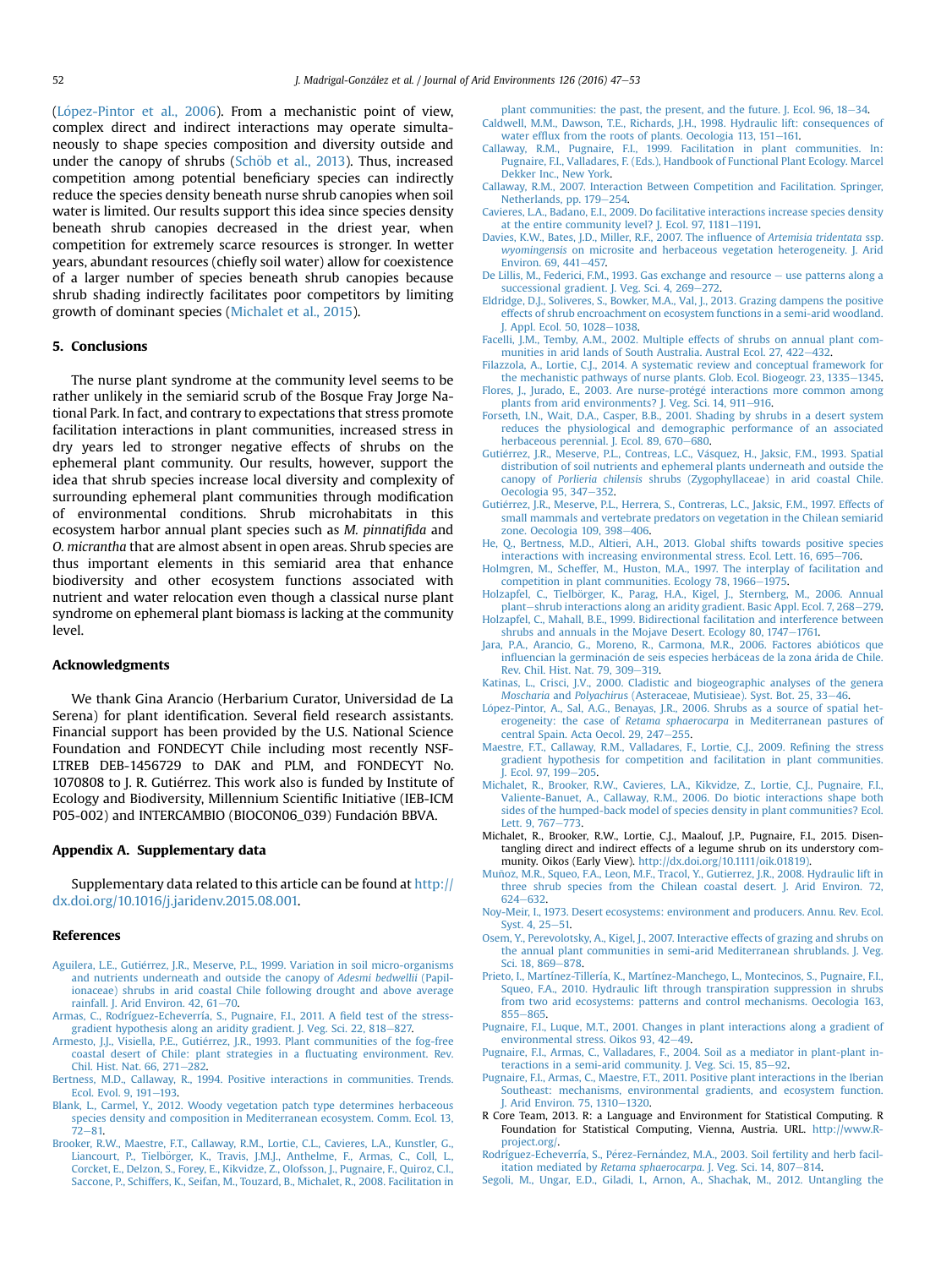<span id="page-5-0"></span>(López-Pintor et al., 2006). From a mechanistic point of view, complex direct and indirect interactions may operate simultaneously to shape species composition and diversity outside and under the canopy of shrubs (Schöb et al., 2013). Thus, increased competition among potential beneficiary species can indirectly reduce the species density beneath nurse shrub canopies when soil water is limited. Our results support this idea since species density beneath shrub canopies decreased in the driest year, when competition for extremely scarce resources is stronger. In wetter years, abundant resources (chiefly soil water) allow for coexistence of a larger number of species beneath shrub canopies because shrub shading indirectly facilitates poor competitors by limiting growth of dominant species (Michalet et al., 2015).

# 5. Conclusions

The nurse plant syndrome at the community level seems to be rather unlikely in the semiarid scrub of the Bosque Fray Jorge National Park. In fact, and contrary to expectations that stress promote facilitation interactions in plant communities, increased stress in dry years led to stronger negative effects of shrubs on the ephemeral plant community. Our results, however, support the idea that shrub species increase local diversity and complexity of surrounding ephemeral plant communities through modification of environmental conditions. Shrub microhabitats in this ecosystem harbor annual plant species such as M. pinnatifida and O. micrantha that are almost absent in open areas. Shrub species are thus important elements in this semiarid area that enhance biodiversity and other ecosystem functions associated with nutrient and water relocation even though a classical nurse plant syndrome on ephemeral plant biomass is lacking at the community level.

# Acknowledgments

We thank Gina Arancio (Herbarium Curator, Universidad de La Serena) for plant identification. Several field research assistants. Financial support has been provided by the U.S. National Science Foundation and FONDECYT Chile including most recently NSF-LTREB DEB-1456729 to DAK and PLM, and FONDECYT No. 1070808 to J. R. Gutiérrez. This work also is funded by Institute of Ecology and Biodiversity, Millennium Scientific Initiative (IEB-ICM P05-002) and INTERCAMBIO (BIOCON06\_039) Fundación BBVA.

# Appendix A. Supplementary data

Supplementary data related to this article can be found at [http://](http://dx.doi.org/10.1016/j.jaridenv.2015.08.001) [dx.doi.org/10.1016/j.jaridenv.2015.08.001.](http://dx.doi.org/10.1016/j.jaridenv.2015.08.001)

#### References

- [Aguilera, L.E., Guti](http://refhub.elsevier.com/S0140-1963(15)30025-2/sref1)é[rrez, J.R., Meserve, P.L., 1999. Variation in soil micro-organisms](http://refhub.elsevier.com/S0140-1963(15)30025-2/sref1) [and nutrients underneath and outside the canopy of](http://refhub.elsevier.com/S0140-1963(15)30025-2/sref1) Adesmi bedwellii (Papil[ionaceae\) shrubs in arid coastal Chile following drought and above average](http://refhub.elsevier.com/S0140-1963(15)30025-2/sref1) rainfall. I. Arid Environ.  $42.61 - 70.$  $42.61 - 70.$
- [Armas, C., Rodríguez-Echeverría, S., Pugnaire, F.I., 2011. A](http://refhub.elsevier.com/S0140-1963(15)30025-2/sref2) field test of the stress[gradient hypothesis along an aridity gradient. J. Veg. Sci. 22, 818](http://refhub.elsevier.com/S0140-1963(15)30025-2/sref2)-[827.](http://refhub.elsevier.com/S0140-1963(15)30025-2/sref2)
- [Armesto, J.J., Visiella, P.E., Gutierrez, J.R., 1993. Plant communities of the fog-free](http://refhub.elsevier.com/S0140-1963(15)30025-2/sref3) [coastal desert of Chile: plant strategies in a](http://refhub.elsevier.com/S0140-1963(15)30025-2/sref3) fluctuating environment. Rev. Chil. Hist. Nat.  $66, 271-282$ .
- [Bertness, M.D., Callaway, R., 1994. Positive interactions in communities. Trends.](http://refhub.elsevier.com/S0140-1963(15)30025-2/sref5) [Ecol. Evol. 9, 191](http://refhub.elsevier.com/S0140-1963(15)30025-2/sref5)-[193.](http://refhub.elsevier.com/S0140-1963(15)30025-2/sref5)
- [Blank, L., Carmel, Y., 2012. Woody vegetation patch type determines herbaceous](http://refhub.elsevier.com/S0140-1963(15)30025-2/sref4) [species density and composition in Mediterranean ecosystem. Comm. Ecol. 13,](http://refhub.elsevier.com/S0140-1963(15)30025-2/sref4)  $72 - 81$  $72 - 81$ .
- [Brooker, R.W., Maestre, F.T., Callaway, R.M., Lortie, C.L., Cavieres, L.A., Kunstler, G.,](http://refhub.elsevier.com/S0140-1963(15)30025-2/sref6) Liancourt, P., Tielbörger, K., Travis, J.M.J., Anthelme, F., Armas, C., Coll, L., [Corcket, E., Delzon, S., Forey, E., Kikvidze, Z., Olofsson, J., Pugnaire, F., Quiroz, C.l.,](http://refhub.elsevier.com/S0140-1963(15)30025-2/sref6) [Saccone, P., Schiffers, K., Seifan, M., Touzard, B., Michalet, R., 2008. Facilitation in](http://refhub.elsevier.com/S0140-1963(15)30025-2/sref6)

plant communities: the past, the present, and the future. J. Ecol.  $96, 18-34$  $96, 18-34$ . [Caldwell, M.M., Dawson, T.E., Richards, J.H., 1998. Hydraulic lift: consequences of](http://refhub.elsevier.com/S0140-1963(15)30025-2/sref7) water efflux from the roots of plants. Oecologia  $113$ ,  $151-161$ .

- [Callaway, R.M., Pugnaire, F.I., 1999. Facilitation in plant communities. In:](http://refhub.elsevier.com/S0140-1963(15)30025-2/sref8) [Pugnaire, F.I., Valladares, F. \(Eds.\), Handbook of Functional Plant Ecology. Marcel](http://refhub.elsevier.com/S0140-1963(15)30025-2/sref8) [Dekker Inc., New York.](http://refhub.elsevier.com/S0140-1963(15)30025-2/sref8)
- [Callaway, R.M., 2007. Interaction Between Competition and Facilitation. Springer,](http://refhub.elsevier.com/S0140-1963(15)30025-2/sref9) [Netherlands, pp. 179](http://refhub.elsevier.com/S0140-1963(15)30025-2/sref9)-[254.](http://refhub.elsevier.com/S0140-1963(15)30025-2/sref9)
- [Cavieres, L.A., Badano, E.I., 2009. Do facilitative interactions increase species density](http://refhub.elsevier.com/S0140-1963(15)30025-2/sref10) [at the entire community level? J. Ecol. 97, 1181](http://refhub.elsevier.com/S0140-1963(15)30025-2/sref10)-[1191.](http://refhub.elsevier.com/S0140-1963(15)30025-2/sref10)
- [Davies, K.W., Bates, J.D., Miller, R.F., 2007. The in](http://refhub.elsevier.com/S0140-1963(15)30025-2/sref11)fluence of Artemisia tridentata ssp. wyomingensis [on microsite and herbaceous vegetation heterogeneity. J. Arid](http://refhub.elsevier.com/S0140-1963(15)30025-2/sref11) [Environ. 69, 441](http://refhub.elsevier.com/S0140-1963(15)30025-2/sref11)-[457.](http://refhub.elsevier.com/S0140-1963(15)30025-2/sref11)
- [De Lillis, M., Federici, F.M., 1993. Gas exchange and resource](http://refhub.elsevier.com/S0140-1963(15)30025-2/sref12)  $-$  [use patterns along a](http://refhub.elsevier.com/S0140-1963(15)30025-2/sref12) [successional gradient. J. Veg. Sci. 4, 269](http://refhub.elsevier.com/S0140-1963(15)30025-2/sref12)-[272](http://refhub.elsevier.com/S0140-1963(15)30025-2/sref12).
- [Eldridge, D.J., Soliveres, S., Bowker, M.A., Val, J., 2013. Grazing dampens the positive](http://refhub.elsevier.com/S0140-1963(15)30025-2/sref13) [effects of shrub encroachment on ecosystem functions in a semi-arid woodland.](http://refhub.elsevier.com/S0140-1963(15)30025-2/sref13) [J. Appl. Ecol. 50, 1028](http://refhub.elsevier.com/S0140-1963(15)30025-2/sref13)-[1038.](http://refhub.elsevier.com/S0140-1963(15)30025-2/sref13)
- [Facelli, J.M., Temby, A.M., 2002. Multiple effects of shrubs on annual plant com](http://refhub.elsevier.com/S0140-1963(15)30025-2/sref14)[munities in arid lands of South Australia. Austral Ecol. 27, 422](http://refhub.elsevier.com/S0140-1963(15)30025-2/sref14)–[432.](http://refhub.elsevier.com/S0140-1963(15)30025-2/sref14)
- [Filazzola, A., Lortie, C.J., 2014. A systematic review and conceptual framework for](http://refhub.elsevier.com/S0140-1963(15)30025-2/sref15) [the mechanistic pathways of nurse plants. Glob. Ecol. Biogeogr. 23, 1335](http://refhub.elsevier.com/S0140-1963(15)30025-2/sref15)-[1345](http://refhub.elsevier.com/S0140-1963(15)30025-2/sref15).
- [Flores, J., Jurado, E., 2003. Are nurse-prot](http://refhub.elsevier.com/S0140-1963(15)30025-2/sref16)é[g](http://refhub.elsevier.com/S0140-1963(15)30025-2/sref16)é [interactions more common among](http://refhub.elsevier.com/S0140-1963(15)30025-2/sref16) [plants from arid environments? J. Veg. Sci. 14, 911](http://refhub.elsevier.com/S0140-1963(15)30025-2/sref16)-[916.](http://refhub.elsevier.com/S0140-1963(15)30025-2/sref16)
- [Forseth, I.N., Wait, D.A., Casper, B.B., 2001. Shading by shrubs in a desert system](http://refhub.elsevier.com/S0140-1963(15)30025-2/sref17) [reduces the physiological and demographic performance of an associated](http://refhub.elsevier.com/S0140-1963(15)30025-2/sref17) [herbaceous perennial. J. Ecol. 89, 670](http://refhub.elsevier.com/S0140-1963(15)30025-2/sref17)–[680.](http://refhub.elsevier.com/S0140-1963(15)30025-2/sref17)<br>Gutiérrez, J.R., Meserve, P.L., Contreas, L.C., Vásquez, H., Jaksic, F.M., 1993. Spatial
- [distribution of soil nutrients and ephemeral plants underneath and outside the](http://refhub.elsevier.com/S0140-1963(15)30025-2/sref18) canopy of Porlieria chilensis [shrubs \(Zygophyllaceae\) in arid coastal Chile.](http://refhub.elsevier.com/S0140-1963(15)30025-2/sref18) [Oecologia 95, 347](http://refhub.elsevier.com/S0140-1963(15)30025-2/sref18)-[352](http://refhub.elsevier.com/S0140-1963(15)30025-2/sref18).
- [Gutierrez, J.R., Meserve, P.L., Herrera, S., Contreras, L.C., Jaksic, F.M., 1997. Effects of](http://refhub.elsevier.com/S0140-1963(15)30025-2/sref19) [small mammals and vertebrate predators on vegetation in the Chilean semiarid](http://refhub.elsevier.com/S0140-1963(15)30025-2/sref19) [zone. Oecologia 109, 398](http://refhub.elsevier.com/S0140-1963(15)30025-2/sref19)-[406](http://refhub.elsevier.com/S0140-1963(15)30025-2/sref19).
- [He, Q., Bertness, M.D., Altieri, A.H., 2013. Global shifts towards positive species](http://refhub.elsevier.com/S0140-1963(15)30025-2/sref20) [interactions with increasing environmental stress. Ecol. Lett. 16, 695](http://refhub.elsevier.com/S0140-1963(15)30025-2/sref20)-[706](http://refhub.elsevier.com/S0140-1963(15)30025-2/sref20).
- [Holmgren, M., Scheffer, M., Huston, M.A., 1997. The interplay of facilitation and](http://refhub.elsevier.com/S0140-1963(15)30025-2/sref21) [competition in plant communities. Ecology 78, 1966](http://refhub.elsevier.com/S0140-1963(15)30025-2/sref21)-[1975.](http://refhub.elsevier.com/S0140-1963(15)30025-2/sref21)
- Holzapfel, C., Tielbörger, K., Parag, H.A., Kigel, J., Sternberg, M., 2006. Annual [plant](http://refhub.elsevier.com/S0140-1963(15)30025-2/sref22)-[shrub interactions along an aridity gradient. Basic Appl. Ecol. 7, 268](http://refhub.elsevier.com/S0140-1963(15)30025-2/sref22)-[279](http://refhub.elsevier.com/S0140-1963(15)30025-2/sref22).
- [Holzapfel, C., Mahall, B.E., 1999. Bidirectional facilitation and interference between](http://refhub.elsevier.com/S0140-1963(15)30025-2/sref23) [shrubs and annuals in the Mojave Desert. Ecology 80, 1747](http://refhub.elsevier.com/S0140-1963(15)30025-2/sref23)-[1761.](http://refhub.elsevier.com/S0140-1963(15)30025-2/sref23)
- [Jara, P.A., Arancio, G., Moreno, R., Carmona, M.R., 2006. Factores abioticos que](http://refhub.elsevier.com/S0140-1963(15)30025-2/sref24) influencian la germinación de seis especies herbá[ceas de la zona](http://refhub.elsevier.com/S0140-1963(15)30025-2/sref24) árida de Chile. [Rev. Chil. Hist. Nat. 79, 309](http://refhub.elsevier.com/S0140-1963(15)30025-2/sref24)-[319](http://refhub.elsevier.com/S0140-1963(15)30025-2/sref24).
- [Katinas, L., Crisci, J.V., 2000. Cladistic and biogeographic analyses of the genera](http://refhub.elsevier.com/S0140-1963(15)30025-2/sref25) Moscharia and Polyachiru[s \(Asteraceae, Mutisieae\). Syst. Bot. 25, 33](http://refhub.elsevier.com/S0140-1963(15)30025-2/sref25)-[46.](http://refhub.elsevier.com/S0140-1963(15)30025-2/sref25)
- [L](http://refhub.elsevier.com/S0140-1963(15)30025-2/sref26)ó[pez-Pintor, A., Sal, A.G., Benayas, J.R., 2006. Shrubs as a source of spatial het](http://refhub.elsevier.com/S0140-1963(15)30025-2/sref26) erogeneity: the case of Retama sphaerocarpa [in Mediterranean pastures of](http://refhub.elsevier.com/S0140-1963(15)30025-2/sref26) [central Spain. Acta Oecol. 29, 247](http://refhub.elsevier.com/S0140-1963(15)30025-2/sref26)-[255.](http://refhub.elsevier.com/S0140-1963(15)30025-2/sref26)
- [Maestre, F.T., Callaway, R.M., Valladares, F., Lortie, C.J., 2009. Re](http://refhub.elsevier.com/S0140-1963(15)30025-2/sref27)fining the stress [gradient hypothesis for competition and facilitation in plant communities.](http://refhub.elsevier.com/S0140-1963(15)30025-2/sref27) I. Ecol. 97, 199-[205](http://refhub.elsevier.com/S0140-1963(15)30025-2/sref27).
- [Michalet, R., Brooker, R.W., Cavieres, L.A., Kikvidze, Z., Lortie, C.J., Pugnaire, F.I.,](http://refhub.elsevier.com/S0140-1963(15)30025-2/sref28) [Valiente-Banuet, A., Callaway, R.M., 2006. Do biotic interactions shape both](http://refhub.elsevier.com/S0140-1963(15)30025-2/sref28) [sides of the humped-back model of species density in plant communities? Ecol.](http://refhub.elsevier.com/S0140-1963(15)30025-2/sref28) [Lett. 9, 767](http://refhub.elsevier.com/S0140-1963(15)30025-2/sref28)-[773.](http://refhub.elsevier.com/S0140-1963(15)30025-2/sref28)
- Michalet, R., Brooker, R.W., Lortie, C.J., Maalouf, J.P., Pugnaire, F.I., 2015. Disentangling direct and indirect effects of a legume shrub on its understory community. Oikos (Early View). [http://dx.doi.org/10.1111/oik.01819\)](http://dx.doi.org/10.1111/oik.01819)).
- [Munoz, M.R., Squeo, F.A., Leon, M.F., Tracol, Y., Gutierrez, J.R., 2008. Hydraulic lift in](http://refhub.elsevier.com/S0140-1963(15)30025-2/sref30) ~ [three shrub species from the Chilean coastal desert. J. Arid Environ. 72,](http://refhub.elsevier.com/S0140-1963(15)30025-2/sref30) [624](http://refhub.elsevier.com/S0140-1963(15)30025-2/sref30)-[632](http://refhub.elsevier.com/S0140-1963(15)30025-2/sref30).
- [Noy-Meir, I., 1973. Desert ecosystems: environment and producers. Annu. Rev. Ecol.](http://refhub.elsevier.com/S0140-1963(15)30025-2/sref31) [Syst. 4, 25](http://refhub.elsevier.com/S0140-1963(15)30025-2/sref31)-[51.](http://refhub.elsevier.com/S0140-1963(15)30025-2/sref31)
- [Osem, Y., Perevolotsky, A., Kigel, J., 2007. Interactive effects of grazing and shrubs on](http://refhub.elsevier.com/S0140-1963(15)30025-2/sref32) [the annual plant communities in semi-arid Mediterranean shrublands. J. Veg.](http://refhub.elsevier.com/S0140-1963(15)30025-2/sref32) [Sci. 18, 869](http://refhub.elsevier.com/S0140-1963(15)30025-2/sref32)-[878](http://refhub.elsevier.com/S0140-1963(15)30025-2/sref32).
- [Prieto, I., Martínez-Tillería, K., Martínez-Manchego, L., Montecinos, S., Pugnaire, F.I.,](http://refhub.elsevier.com/S0140-1963(15)30025-2/sref33) [Squeo, F.A., 2010. Hydraulic lift through transpiration suppression in shrubs](http://refhub.elsevier.com/S0140-1963(15)30025-2/sref33) [from two arid ecosystems: patterns and control mechanisms. Oecologia 163,](http://refhub.elsevier.com/S0140-1963(15)30025-2/sref33) [855](http://refhub.elsevier.com/S0140-1963(15)30025-2/sref33)-[865.](http://refhub.elsevier.com/S0140-1963(15)30025-2/sref33)
- [Pugnaire, F.I., Luque, M.T., 2001. Changes in plant interactions along a gradient of](http://refhub.elsevier.com/S0140-1963(15)30025-2/sref34) [environmental stress. Oikos 93, 42](http://refhub.elsevier.com/S0140-1963(15)30025-2/sref34)-[49.](http://refhub.elsevier.com/S0140-1963(15)30025-2/sref34)
- [Pugnaire, F.I., Armas, C., Valladares, F., 2004. Soil as a mediator in plant-plant in](http://refhub.elsevier.com/S0140-1963(15)30025-2/sref35)[teractions in a semi-arid community. J. Veg. Sci. 15, 85](http://refhub.elsevier.com/S0140-1963(15)30025-2/sref35)-[92.](http://refhub.elsevier.com/S0140-1963(15)30025-2/sref35)
- [Pugnaire, F.I., Armas, C., Maestre, F.T., 2011. Positive plant interactions in the Iberian](http://refhub.elsevier.com/S0140-1963(15)30025-2/sref36) [Southeast: mechanisms, environmental gradients, and ecosystem function.](http://refhub.elsevier.com/S0140-1963(15)30025-2/sref36) [J. Arid Environ. 75, 1310](http://refhub.elsevier.com/S0140-1963(15)30025-2/sref36)-[1320](http://refhub.elsevier.com/S0140-1963(15)30025-2/sref36).
- R Core Team, 2013. R: a Language and Environment for Statistical Computing. R Foundation for Statistical Computing, Vienna, Austria. URL. [http://www.R](http://www.R-project.org/)[project.org/.](http://www.R-project.org/)
- [Rodríguez-Echeverría, S., P](http://refhub.elsevier.com/S0140-1963(15)30025-2/sref38)é[rez-Fern](http://refhub.elsevier.com/S0140-1963(15)30025-2/sref38)ández, M.A., 2003. Soil fertility and herb facil-itation mediated by [Retama sphaerocarpa](http://refhub.elsevier.com/S0140-1963(15)30025-2/sref38). J. Veg. Sci. 14, 807-[814.](http://refhub.elsevier.com/S0140-1963(15)30025-2/sref38)
- [Segoli, M., Ungar, E.D., Giladi, I., Arnon, A., Shachak, M., 2012. Untangling the](http://refhub.elsevier.com/S0140-1963(15)30025-2/sref39)